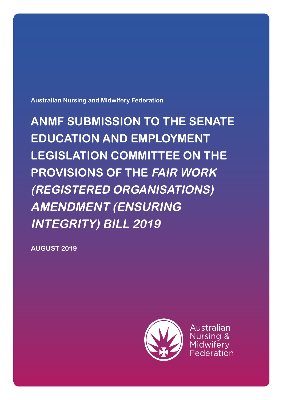**Australian Nursing and Midwifery Federation**

**ANMF SUBMISSION TO THE SENATE EDUCATION AND EMPLOYMENT LEGISLATION COMMITTEE ON THE PROVISIONS OF THE FAIR WORK (REGISTERED ORGANISATIONS) AMENDMENT (ENSURING INTEGRITY) BILL 2019**

**AUGUST 2019**



Australian Nursing & Midwifery Federation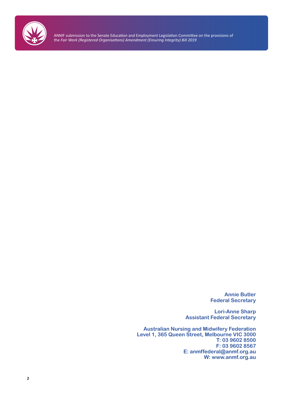

> **Annie Butler Federal Secretary**

**Lori-Anne Sharp Assistant Federal Secretary**

**Australian Nursing and Midwifery Federation Level 1, 365 Queen Street, Melbourne VIC 3000 T: 03 9602 8500 F: 03 9602 8567 E: anmffederal@anmf.org.au W: www.anmf.org.au**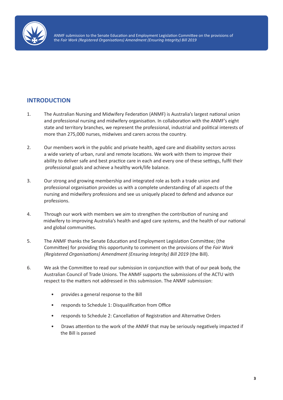

### **INTRODUCTION**

- 1. The Australian Nursing and Midwifery Federation (ANMF) is Australia's largest national union and professional nursing and midwifery organisation. In collaboration with the ANMF's eight state and territory branches, we represent the professional, industrial and political interests of more than 275,000 nurses, midwives and carers across the country.
- 2. Our members work in the public and private health, aged care and disability sectors across a wide variety of urban, rural and remote locations. We work with them to improve their ability to deliver safe and best practice care in each and every one of these settings, fulfil their professional goals and achieve a healthy work/life balance.
- 3. Our strong and growing membership and integrated role as both a trade union and professional organisation provides us with a complete understanding of all aspects of the nursing and midwifery professions and see us uniquely placed to defend and advance our professions.
- 4. Through our work with members we aim to strengthen the contribution of nursing and midwifery to improving Australia's health and aged care systems, and the health of our national and global communities.
- 5. The ANMF thanks the Senate Education and Employment Legislation Committee; (the Committee) for providing this opportunity to comment on the provisions of the *Fair Work (Registered Organisations) Amendment (Ensuring Integrity) Bill 2019* (the Bill).
- 6. We ask the Committee to read our submission in conjunction with that of our peak body, the Australian Council of Trade Unions. The ANMF supports the submissions of the ACTU with respect to the matters not addressed in this submission. The ANMF submission:
	- provides a general response to the Bill
	- responds to Schedule 1: Disqualification from Office
	- responds to Schedule 2: Cancellation of Registration and Alternative Orders
	- Draws attention to the work of the ANMF that may be seriously negatively impacted if the Bill is passed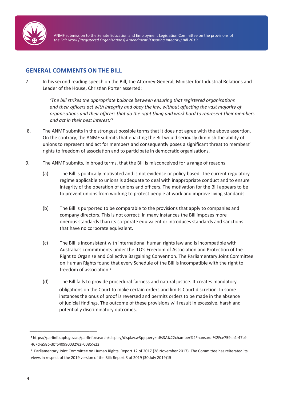

### **GENERAL COMMENTS ON THE BILL**

7. In his second reading speech on the Bill, the Attorney-General, Minister for Industrial Relations and Leader of the House, Christian Porter asserted:

> *'The bill strikes the appropriate balance between ensuring that registered organisations and their officers act with integrity and obey the law, without affecting the vast majority of organisations and their officers that do the right thing and work hard to represent their members and act in their best interest.'1*

- 8. The ANMF submits in the strongest possible terms that it does not agree with the above assertion. On the contrary, the ANMF submits that enacting the Bill would seriously diminish the ability of unions to represent and act for members and consequently poses a significant threat to members' rights to freedom of association and to participate in democratic organisations.
- 9. The ANMF submits, in broad terms, that the Bill is misconceived for a range of reasons.
	- (a) The Bill is politically motivated and is not evidence or policy based. The current regulatory regime applicable to unions is adequate to deal with inappropriate conduct and to ensure integrity of the operation of unions and officers. The motivation for the Bill appears to be to prevent unions from working to protect people at work and improve living standards.
	- (b) The Bill is purported to be comparable to the provisions that apply to companies and company directors. This is not correct; in many instances the Bill imposes more onerous standards than its corporate equivalent or introduces standards and sanctions that have no corporate equivalent.
	- (c) The Bill is inconsistent with international human rights law and is incompatible with Australia's commitments under the ILO's Freedom of Association and Protection of the Right to Organise and Collective Bargaining Convention. The Parliamentary Joint Committee on Human Rights found that every Schedule of the Bill is incompatible with the right to freedom of association.2
	- (d) The Bill fails to provide procedural fairness and natural justice. It creates mandatory obligations on the Court to make certain orders and limits Court discretion. In some instances the onus of proof is reversed and permits orders to be made in the absence of judicial findings. The outcome of these provisions will result in excessive, harsh and potentially discriminatory outcomes.

\_\_\_\_\_\_\_\_\_\_\_\_\_\_\_\_\_\_\_\_\_\_\_\_\_\_

<sup>1</sup> https://parlinfo.aph.gov.au/parlInfo/search/display/display.w3p;query=Id%3A%22chamber%2Fhansardr%2Fce759aa1-47bf-467d-a58b-3bf640990032%2F0085%22

<sup>2</sup> Parliamentary Joint Committee on Human Rights, Report 12 of 2017 (28 November 2017). The Committee has reiterated its views in respect of the 2019 version of the Bill: Report 3 of 2019 (30 July 2019)15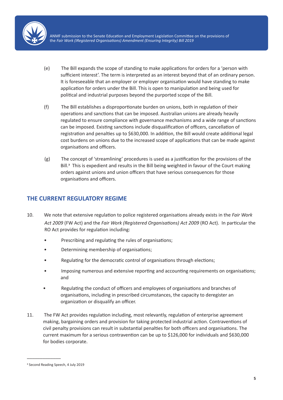

- (e) The Bill expands the scope of standing to make applications for orders for a 'person with sufficient interest'. The term is interpreted as an interest beyond that of an ordinary person. It is foreseeable that an employer or employer organisation would have standing to make application for orders under the Bill. This is open to manipulation and being used for political and industrial purposes beyond the purported scope of the Bill.
- (f) The Bill establishes a disproportionate burden on unions, both in regulation of their operations and sanctions that can be imposed. Australian unions are already heavily regulated to ensure compliance with governance mechanisms and a wide range of sanctions can be imposed. Existing sanctions include disqualification of officers, cancellation of registration and penalties up to \$630,000. In addition, the Bill would create additional legal cost burdens on unions due to the increased scope of applications that can be made against organisations and officers.
- (g) The concept of 'streamlining' procedures is used as a justification for the provisions of the Bill.<sup>3</sup> This is expedient and results in the Bill being weighted in favour of the Court making orders against unions and union officers that have serious consequences for those organisations and officers.

### **THE CURRENT REGULATORY REGIME**

- 10. We note that extensive regulation to police registered organisations already exists in the *Fair Work Act 2009* (FW Act) and the *Fair Work (Registered Organisations) Act 2009* (RO Act). In particular the RO Act provides for regulation including:
	- Prescribing and regulating the rules of organisations;
	- Determining membership of organisations;
	- Regulating for the democratic control of organisations through elections;
	- Imposing numerous and extensive reporting and accounting requirements on organisations; and
	- Regulating the conduct of officers and employees of organisations and branches of organisations, including in prescribed circumstances, the capacity to deregister an organization or disqualify an officer.
- 11. The FW Act provides regulation including, most relevantly, regulation of enterprise agreement making, bargaining orders and provision for taking protected industrial action. Contraventions of civil penalty provisions can result in substantial penalties for both officers and organisations. The current maximum for a serious contravention can be up to \$126,000 for individuals and \$630,000 for bodies corporate.

\_\_\_\_\_\_\_\_\_\_\_\_\_

<sup>3</sup> Second Reading Speech, 4 July 2019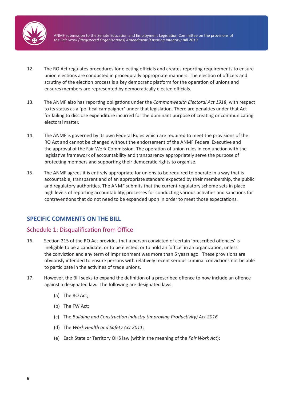

- 12. The RO Act regulates procedures for electing officials and creates reporting requirements to ensure union elections are conducted in procedurally appropriate manners. The election of officers and scrutiny of the election process is a key democratic platform for the operation of unions and ensures members are represented by democratically elected officials.
- 13. The ANMF also has reporting obligations under the *Commonwealth Electoral Act 1918*, with respect to its status as a 'political campaigner' under that legislation. There are penalties under that Act for failing to disclose expenditure incurred for the dominant purpose of creating or communicating electoral matter.
- 14. The ANMF is governed by its own Federal Rules which are required to meet the provisions of the RO Act and cannot be changed without the endorsement of the ANMF Federal Executive and the approval of the Fair Work Commission. The operation of union rules in conjunction with the legislative framework of accountability and transparency appropriately serve the purpose of protecting members and supporting their democratic rights to organise.
- 15. The ANMF agrees it is entirely appropriate for unions to be required to operate in a way that is accountable, transparent and of an appropriate standard expected by their membership, the public and regulatory authorities. The ANMF submits that the current regulatory scheme sets in place high levels of reporting accountability, processes for conducting various activities and sanctions for contraventions that do not need to be expanded upon in order to meet those expectations.

# **SPECIFIC COMMENTS ON THE BILL**

#### Schedule 1: Disqualification from Office

- 16. Section 215 of the RO Act provides that a person convicted of certain 'prescribed offences' is ineligible to be a candidate, or to be elected, or to hold an 'office' in an organization, unless the conviction and any term of imprisonment was more than 5 years ago. These provisions are obviously intended to ensure persons with relatively recent serious criminal convictions not be able to participate in the activities of trade unions.
- 17. However, the Bill seeks to expand the definition of a prescribed offence to now include an offence against a designated law. The following are designated laws:
	- (a) The RO Act;
	- (b) The FW Act;
	- (c) The *Building and Construction Industry (Improving Productivity) Act 2016*
	- (d) The *Work Health and Safety Act 2011*;
	- (e) Each State or Territory OHS law (within the meaning of the *Fair Work Act*);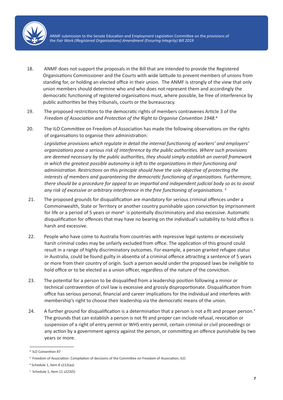

- 18. ANMF does not support the proposals in the Bill that are intended to provide the Registered Organisations Commissioner and the Courts with wide latitude to prevent members of unions from standing for, or holding an elected office in their union. The ANMF is strongly of the view that only union members should determine who and who does not represent them and accordingly the democratic functioning of registered organisations must, where possible, be free of interference by public authorities be they tribunals, courts or the bureaucracy.
- 19. The proposed restrictions to the democratic rights of members contravenes Article 3 of the *Freedom of Association and Protection of the Right to Organise Convention 1948*.4
- 20. The ILO Committee on Freedom of Association has made the following observations on the rights of organisations to organise their administration:

*Legislative provisions which regulate in detail the internal functioning of workers' and employers' organizations pose a serious risk of interference by the public authorities. Where such provisions are deemed necessary by the public authorities, they should simply establish an overall framework in which the greatest possible autonomy is left to the organizations in their functioning and administration. Restrictions on this principle should have the sole objective of protecting the interests of members and guaranteeing the democratic functioning of organizations. Furthermore, there should be a procedure for appeal to an impartial and independent judicial body so as to avoid any risk of excessive or arbitrary interference in the free functioning of organisations. 5*

- 21. The proposed grounds for disqualification are mandatory for serious criminal offences under a Commonwealth, State or Territory or another country punishable upon conviction by imprisonment for life or a period of 5 years or more<sup>6</sup> is potentially discriminatory and also excessive. Automatic disqualification for offences that may have no bearing on the individual's suitability to hold office is harsh and excessive.
- 22. People who have come to Australia from countries with repressive legal systems or excessively harsh criminal codes may be unfairly excluded from office. The application of this ground could result in a range of highly discriminatory outcomes. For example, a person granted refugee status in Australia, could be found guilty in absentia of a criminal offence attracting a sentence of 5 years or more from their country of origin. Such a person would under the proposed laws be ineligible to hold office or to be elected as a union officer, regardless of the nature of the conviction.
- 23. The potential for a person to be disqualified from a leadership position following a minor or technical contravention of civil law is excessive and grossly disproportionate. Disqualification from office has serious personal, financial and career implications for the individual and interferes with membership's right to choose their leadership via the democratic means of the union.
- 24. A further ground for disqualification is a determination that a person is not a fit and proper person.<sup>7</sup> The grounds that can establish a person is not fit and proper can include refusal, revocation or suspension of a right of entry permit or WHS entry permit, certain criminal or civil proceedings or any action by a government agency against the person, or committing an offence punishable by two years or more.

\_\_\_\_\_\_\_\_\_\_\_\_\_\_\_\_\_

<sup>4</sup> ILO Convention 87

<sup>5</sup> Freedom of Association: Compilation of decisions of the Committee on Freedom of Association, ILO.

<sup>6</sup> Schedule 1, Item 8 s212(aa)

<sup>7</sup> Schedule 1, Item 11 s223(5)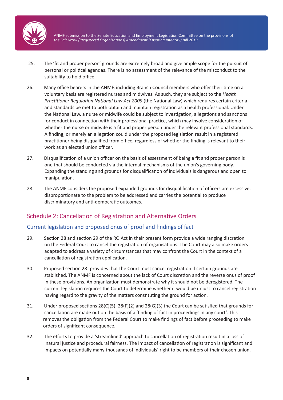

- 25. The 'fit and proper person' grounds are extremely broad and give ample scope for the pursuit of personal or political agendas. There is no assessment of the relevance of the misconduct to the suitability to hold office.
- 26. Many office bearers in the ANMF, including Branch Council members who offer their time on a voluntary basis are registered nurses and midwives. As such, they are subject to the *Health Practitioner Regulation National Law Act 2009* (the National Law) which requires certain criteria and standards be met to both obtain and maintain registration as a health professional. Under the National Law, a nurse or midwife could be subject to investigation, allegations and sanctions for conduct in connection with their professional practice, which may involve consideration of whether the nurse or midwife is a fit and proper person under the relevant professional standards. A finding, or merely an allegation could under the proposed legislation result in a registered practitioner being disqualified from office, regardless of whether the finding is relevant to their work as an elected union officer.
- 27. Disqualification of a union officer on the basis of assessment of being a fit and proper person is one that should be conducted via the internal mechanisms of the union's governing body. Expanding the standing and grounds for disqualification of individuals is dangerous and open to manipulation.
- 28. The ANMF considers the proposed expanded grounds for disqualification of officers are excessive, disproportionate to the problem to be addressed and carries the potential to produce discriminatory and anti-democratic outcomes.

#### Schedule 2: Cancellation of Registration and Alternative Orders

#### Current legislation and proposed onus of proof and findings of fact

- 29. Section 28 and section 29 of the RO Act in their present form provide a wide ranging discretion on the Federal Court to cancel the registration of organisations. The Court may also make orders adapted to address a variety of circumstances that may confront the Court in the context of a cancellation of registration application.
- 30. Proposed section 28J provides that the Court must cancel registration if certain grounds are stablished. The ANMF is concerned about the lack of Court discretion and the reverse onus of proof in these provisions. An organization must demonstrate why it should not be deregistered. The current legislation requires the Court to determine whether it would be unjust to cancel registration having regard to the gravity of the matters constituting the ground for action.
- 31. Under proposed sections 28(C)(5), 28(F)(2) and 28(G)(3) the Court can be satisfied that grounds for cancellation are made out on the basis of a 'finding of fact in proceedings in any court'. This removes the obligation from the Federal Court to make findings of fact before proceeding to make orders of significant consequence.
- 32. The efforts to provide a 'streamlined' approach to cancellation of registration result in a loss of natural justice and procedural fairness. The impact of cancellation of registration is significant and impacts on potentially many thousands of individuals' right to be members of their chosen union.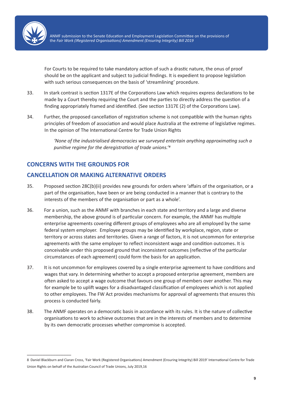

For Courts to be required to take mandatory action of such a drastic nature, the onus of proof should be on the applicant and subject to judicial findings. It is expedient to propose legislation with such serious consequences on the basis of 'streamlining' procedure.

- 33. In stark contrast is section 1317E of the Corporations Law which requires express declarations to be made by a Court thereby requiring the Court and the parties to directly address the question of a finding appropriately framed and identified. (See section 1317E (2) of the Corporations Law).
- 34. Further, the proposed cancellation of registration scheme is not compatible with the human rights principles of freedom of association and would place Australia at the extreme of legislative regimes. In the opinion of The International Centre for Trade Union Rights

*'None of the industrialised democracies we surveyed entertain anything approximating such a punitive regime for the deregistration of trade unions.'8*

# **CONCERNS WITH THE GROUNDS FOR**

\_\_\_\_\_\_\_\_\_\_\_\_\_\_\_\_\_

# **CANCELLATION OR MAKING ALTERNATIVE ORDERS**

- 35. Proposed section 28C(b)(ii) provides new grounds for orders where 'affairs of the organisation, or a part of the organisation, have been or are being conducted in a manner that is contrary to the interests of the members of the organisation or part as a whole'.
- 36. For a union, such as the ANMF with branches in each state and territory and a large and diverse membership, the above ground is of particular concern. For example, the ANMF has multiple enterprise agreements covering different groups of employees who are all employed by the same federal system employer. Employee groups may be identified by workplace, region, state or territory or across states and territories. Given a range of factors, it is not uncommon for enterprise agreements with the same employer to reflect inconsistent wage and condition outcomes. It is conceivable under this proposed ground that inconsistent outcomes (reflective of the particular circumstances of each agreement) could form the basis for an application.
- 37. It is not uncommon for employees covered by a single enterprise agreement to have conditions and wages that vary. In determining whether to accept a proposed enterprise agreement, members are often asked to accept a wage outcome that favours one group of members over another. This may for example be to uplift wages for a disadvantaged classification of employees which is not applied to other employees. The FW Act provides mechanisms for approval of agreements that ensures this process is conducted fairly.
- 38. The ANMF operates on a democratic basis in accordance with its rules. It is the nature of collective organisations to work to achieve outcomes that are in the interests of members and to determine by its own democratic processes whether compromise is accepted.

<sup>8</sup> Daniel Blackburn and Ciaran Cross, 'Fair Work (Registered Organisations) Amendment (Ensuring Integrity) Bill 2019' International Centre for Trade Union Rights on behalf of the Australian Council of Trade Unions, July 2019,16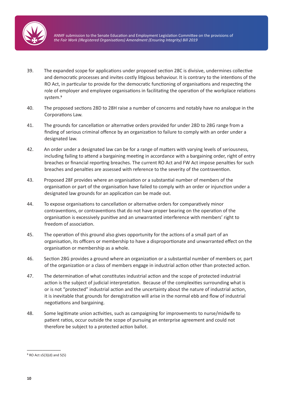

- 39. The expanded scope for applications under proposed section 28C is divisive, undermines collective and democratic processes and invites costly litigious behaviour. It is contrary to the intentions of the RO Act, in particular to provide for the democratic functioning of organisations and respecting the role of employer and employee organisations in facilitating the operation of the workplace relations system.9
- 40. The proposed sections 28D to 28H raise a number of concerns and notably have no analogue in the Corporations Law.
- 41. The grounds for cancellation or alternative orders provided for under 28D to 28G range from a finding of serious criminal offence by an organization to failure to comply with an order under a designated law.
- 42. An order under a designated law can be for a range of matters with varying levels of seriousness, including failing to attend a bargaining meeting in accordance with a bargaining order, right of entry breaches or financial reporting breaches. The current RO Act and FW Act impose penalties for such breaches and penalties are assessed with reference to the severity of the contravention.
- 43. Proposed 28F provides where an organisation or a substantial number of members of the organisation or part of the organisation have failed to comply with an order or injunction under a designated law grounds for an application can be made out.
- 44. To expose organisations to cancellation or alternative orders for comparatively minor contraventions, or contraventions that do not have proper bearing on the operation of the organisation is excessively punitive and an unwarranted interference with members' right to freedom of association.
- 45. The operation of this ground also gives opportunity for the actions of a small part of an organisation, its officers or membership to have a disproportionate and unwarranted effect on the organisation or membership as a whole.
- 46. Section 28G provides a ground where an organization or a substantial number of members or, part of the organization or a class of members engage in industrial action other than protected action.
- 47. The determination of what constitutes industrial action and the scope of protected industrial action is the subject of judicial interpretation. Because of the complexities surrounding what is or is not "protected" industrial action and the uncertainty about the nature of industrial action, it is inevitable that grounds for deregistration will arise in the normal ebb and flow of industrial negotiations and bargaining.
- 48. Some legitimate union activities, such as campaigning for improvements to nurse/midwife to patient ratios, occur outside the scope of pursuing an enterprise agreement and could not therefore be subject to a protected action ballot.

\_\_\_\_\_\_\_\_\_\_\_\_\_ ⁹ RO Act s5(3)(d) and 5(5)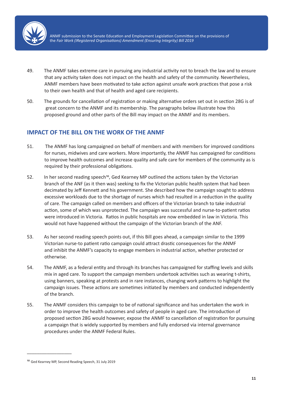

- 49. The ANMF takes extreme care in pursuing any industrial activity not to breach the law and to ensure that any activity taken does not impact on the health and safety of the community. Nevertheless, ANMF members have been motivated to take action against unsafe work practices that pose a risk to their own health and that of health and aged care recipients.
- 50. The grounds for cancellation of registration or making alternative orders set out in section 28G is of great concern to the ANMF and its membership. The paragraphs below illustrate how this proposed ground and other parts of the Bill may impact on the ANMF and its members.

# **IMPACT OF THE BILL ON THE WORK OF THE ANMF**

- 51. The ANMF has long campaigned on behalf of members and with members for improved conditions for nurses, midwives and care workers. More importantly, the ANMF has campaigned for conditions to improve health outcomes and increase quality and safe care for members of the community as is required by their professional obligations.
- 52. In her second reading speech<sup>10</sup>, Ged Kearney MP outlined the actions taken by the Victorian branch of the ANF (as it then was) seeking to fix the Victorian public health system that had been decimated by Jeff Kennett and his government. She described how the campaign sought to address excessive workloads due to the shortage of nurses which had resulted in a reduction in the quality of care. The campaign called on members and officers of the Victorian branch to take industrial action, some of which was unprotected. The campaign was successful and nurse-to-patient ratios were introduced in Victoria. Ratios in public hospitals are now embedded in law in Victoria. This would not have happened without the campaign of the Victorian branch of the ANF.
- 53. As her second reading speech points out, if this Bill goes ahead, a campaign similar to the 1999 Victorian nurse-to patient ratio campaign could attract drastic consequences for the ANMF and inhibit the ANMF's capacity to engage members in industrial action, whether protected or otherwise.
- 54. The ANMF, as a federal entity and through its branches has campaigned for staffing levels and skills mix in aged care. To support the campaign members undertook activities such as wearing t-shirts, using banners, speaking at protests and in rare instances, changing work patterns to highlight the campaign issues. These actions are sometimes initiated by members and conducted independently of the branch.
- 55. The ANMF considers this campaign to be of national significance and has undertaken the work in order to improve the health outcomes and safety of people in aged care. The introduction of proposed section 28G would however, expose the ANMF to cancellation of registration for pursuing a campaign that is widely supported by members and fully endorsed via internal governance procedures under the ANMF Federal Rules.

\_\_\_\_\_\_\_\_\_\_\_\_\_\_\_\_\_\_

<sup>10</sup> Ged Kearney MP, Second Reading Speech, 31 July 2019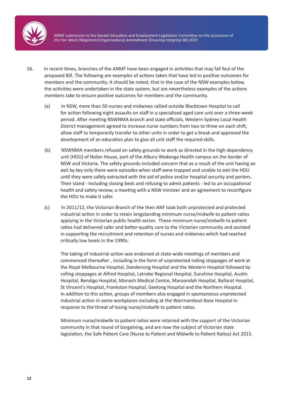

- 56. In recent times, branches of the ANMF have been engaged in activities that may fall foul of the proposed Bill. The following are examples of actions taken that have led to positive outcomes for members and the community. It should be noted, that in the case of the NSW examples below, the activities were undertaken in the state system, but are nevertheless examples of the actions members take to ensure positive outcomes for members and the community.
	- (a) In NSW, more than 50 nurses and midwives rallied outside Blacktown Hospital to call for action following eight assaults on staff in a specialised aged care unit over a three-week period. After meeting NSWNMA branch and state officials, Western Sydney Local Health District management agreed to increase nurse numbers from two to three on each shift, allow staff to temporarily transfer to other units in order to get a break and approved the development of an education plan to give all unit staff the required skills.
	- (b) NSWNMA members refused on safety grounds to work as directed in the high dependency unit (HDU) of Nolan House, part of the Albury Wodonga Health campus on the border of NSW and Victoria. The safety grounds included concern that as a result of the unit having an exit by key only there were episodes when staff were trapped and unable to exit the HDU until they were safely extracted with the aid of police and/or hospital security and porters. Their stand - including closing beds and refusing to admit patients - led to an occupational health and safety review, a meeting with a NSW minister and an agreement to reconfigure the HDU to make it safer.
	- (c) In 2011/12, the Victorian Branch of the then ANF took both unprotected and protected industrial action in order to retain longstanding minimum nurse/midwife to patient ratios applying in the Victorian public health sector. These minimum nurse/midwife to patient ratios had delivered safer and better-quality care to the Victorian community and assisted in supporting the recruitment and retention of nurses and midwives which had reached critically low levels in the 1990s.

The taking of industrial action was endorsed at state-wide meetings of members and commenced thereafter , including in the form of unprotected rolling stoppages of work at the Royal Melbourne Hospital, Dandenong Hospital and the Western Hospital followed by rolling stoppages at Alfred Hospital, Latrobe Regional Hospital, Sunshine Hospital, Austin Hospital, Bendigo Hospital, Monash Medical Centre, Maroondah Hospital, Ballarat Hospital, St Vincent's Hospital, Frankston Hospital, Geelong Hospital and the Northern Hospital. In addition to this action, groups of members also engaged in spontaneous unprotected industrial action in some workplaces including at the Warrnambool Base Hospital in response to the threat of losing nurse/midwife to patient ratios.

Minimum nurse/midwife to patient ratios were retained with the support of the Victorian community in that round of bargaining, and are now the subject of Victorian state legislation, the Safe Patient Care (Nurse to Patient and Midwife to Patient Ratios) Act 2015.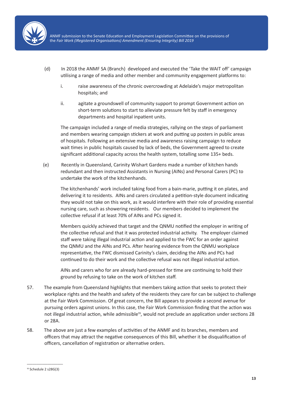

- (d) In 2018 the ANMF SA (Branch) developed and executed the 'Take the WAIT off' campaign utilising a range of media and other member and community engagement platforms to:
	- i. raise awareness of the chronic overcrowding at Adelaide's major metropolitan hospitals; and
	- ii. agitate a groundswell of community support to prompt Government action on short-term solutions to start to alleviate pressure felt by staff in emergency departments and hospital inpatient units.

The campaign included a range of media strategies, rallying on the steps of parliament and members wearing campaign stickers at work and putting up posters in public areas of hospitals. Following an extensive media and awareness raising campaign to reduce wait times in public hospitals caused by lack of beds, the Government agreed to create significant additional capacity across the health system, totalling some 135+ beds.

(e) Recently in Queensland, Carinity Wishart Gardens made a number of kitchen hands redundant and then instructed Assistants in Nursing (AINs) and Personal Carers (PC) to undertake the work of the kitchenhands.

The kitchenhands' work included taking food from a bain-marie, putting it on plates, and delivering it to residents. AINs and carers circulated a petition-style document indicating they would not take on this work, as it would interfere with their role of providing essential nursing care, such as showering residents. Our members decided to implement the collective refusal if at least 70% of AINs and PCs signed it.

Members quickly achieved that target and the QNMU notified the employer in writing of the collective refusal and that it was protected industrial activity. The employer claimed staff were taking illegal industrial action and applied to the FWC for an order against the QNMU and the AINs and PCs. After hearing evidence from the QNMU workplace representative, the FWC dismissed Carinity's claim, deciding the AINs and PCs had continued to do their work and the collective refusal was not illegal industrial action.

AINs and carers who for are already hard-pressed for time are continuing to hold their ground by refusing to take on the work of kitchen staff.

- 57. The example from Queensland highlights that members taking action that seeks to protect their workplace rights and the health and safety of the residents they care for can be subject to challenge at the Fair Work Commission. Of great concern, the Bill appears to provide a second avenue for pursuing orders against unions. In this case, the Fair Work Commission finding that the action was not illegal industrial action, while admissible<sup>11</sup>, would not preclude an application under sections 28 or 28A.
- 58. The above are just a few examples of activities of the ANMF and its branches, members and officers that may attract the negative consequences of this Bill, whether it be disqualification of officers, cancellation of registration or alternative orders.

\_\_\_\_\_\_\_\_\_\_\_\_\_\_\_\_\_\_\_ 11 Schedule 2 s28G(3)